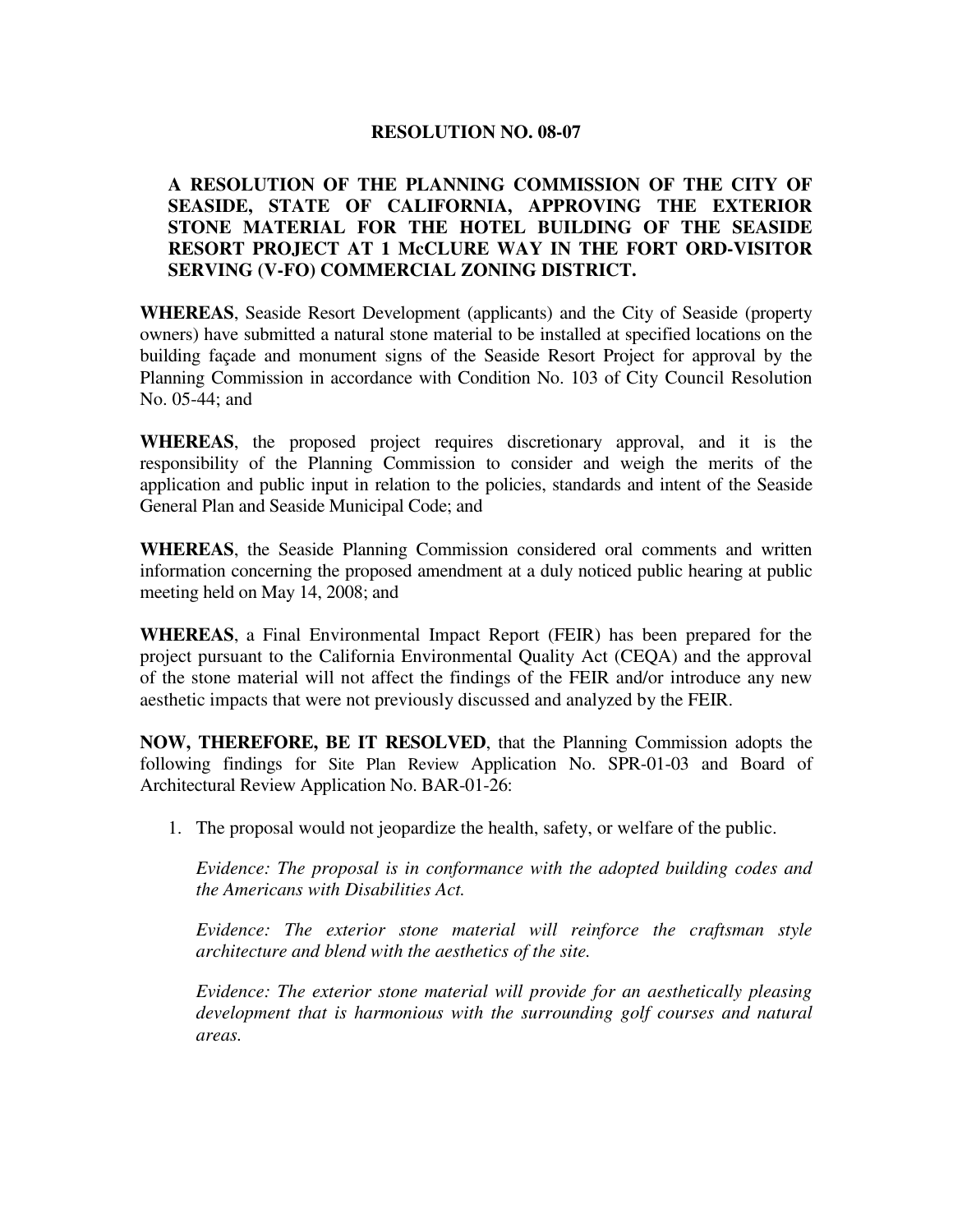## **RESOLUTION NO. 08-07**

# **A RESOLUTION OF THE PLANNING COMMISSION OF THE CITY OF SEASIDE, STATE OF CALIFORNIA, APPROVING THE EXTERIOR STONE MATERIAL FOR THE HOTEL BUILDING OF THE SEASIDE RESORT PROJECT AT 1 McCLURE WAY IN THE FORT ORD-VISITOR SERVING (V-FO) COMMERCIAL ZONING DISTRICT.**

**WHEREAS**, Seaside Resort Development (applicants) and the City of Seaside (property owners) have submitted a natural stone material to be installed at specified locations on the building façade and monument signs of the Seaside Resort Project for approval by the Planning Commission in accordance with Condition No. 103 of City Council Resolution No. 05-44; and

**WHEREAS**, the proposed project requires discretionary approval, and it is the responsibility of the Planning Commission to consider and weigh the merits of the application and public input in relation to the policies, standards and intent of the Seaside General Plan and Seaside Municipal Code; and

**WHEREAS**, the Seaside Planning Commission considered oral comments and written information concerning the proposed amendment at a duly noticed public hearing at public meeting held on May 14, 2008; and

**WHEREAS**, a Final Environmental Impact Report (FEIR) has been prepared for the project pursuant to the California Environmental Quality Act (CEQA) and the approval of the stone material will not affect the findings of the FEIR and/or introduce any new aesthetic impacts that were not previously discussed and analyzed by the FEIR.

**NOW, THEREFORE, BE IT RESOLVED**, that the Planning Commission adopts the following findings for Site Plan Review Application No. SPR-01-03 and Board of Architectural Review Application No. BAR-01-26:

1. The proposal would not jeopardize the health, safety, or welfare of the public.

*Evidence: The proposal is in conformance with the adopted building codes and the Americans with Disabilities Act.* 

*Evidence: The exterior stone material will reinforce the craftsman style architecture and blend with the aesthetics of the site.* 

*Evidence: The exterior stone material will provide for an aesthetically pleasing development that is harmonious with the surrounding golf courses and natural areas.*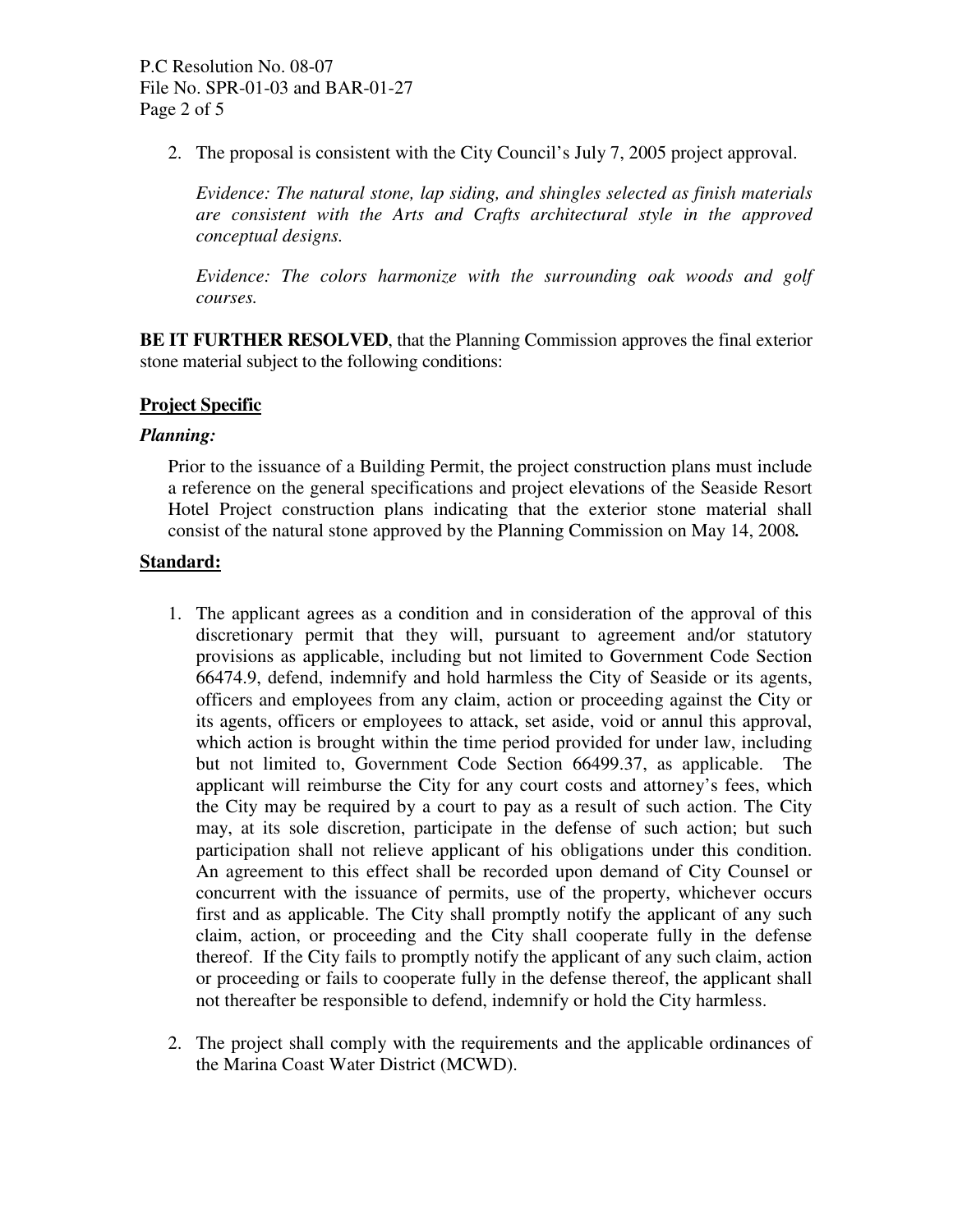2. The proposal is consistent with the City Council's July 7, 2005 project approval.

*Evidence: The natural stone, lap siding, and shingles selected as finish materials are consistent with the Arts and Crafts architectural style in the approved conceptual designs.* 

*Evidence: The colors harmonize with the surrounding oak woods and golf courses.* 

**BE IT FURTHER RESOLVED**, that the Planning Commission approves the final exterior stone material subject to the following conditions:

## **Project Specific**

#### *Planning:*

Prior to the issuance of a Building Permit, the project construction plans must include a reference on the general specifications and project elevations of the Seaside Resort Hotel Project construction plans indicating that the exterior stone material shall consist of the natural stone approved by the Planning Commission on May 14, 2008*.* 

## **Standard:**

- 1. The applicant agrees as a condition and in consideration of the approval of this discretionary permit that they will, pursuant to agreement and/or statutory provisions as applicable, including but not limited to Government Code Section 66474.9, defend, indemnify and hold harmless the City of Seaside or its agents, officers and employees from any claim, action or proceeding against the City or its agents, officers or employees to attack, set aside, void or annul this approval, which action is brought within the time period provided for under law, including but not limited to, Government Code Section 66499.37, as applicable. The applicant will reimburse the City for any court costs and attorney's fees, which the City may be required by a court to pay as a result of such action. The City may, at its sole discretion, participate in the defense of such action; but such participation shall not relieve applicant of his obligations under this condition. An agreement to this effect shall be recorded upon demand of City Counsel or concurrent with the issuance of permits, use of the property, whichever occurs first and as applicable. The City shall promptly notify the applicant of any such claim, action, or proceeding and the City shall cooperate fully in the defense thereof. If the City fails to promptly notify the applicant of any such claim, action or proceeding or fails to cooperate fully in the defense thereof, the applicant shall not thereafter be responsible to defend, indemnify or hold the City harmless.
- 2. The project shall comply with the requirements and the applicable ordinances of the Marina Coast Water District (MCWD).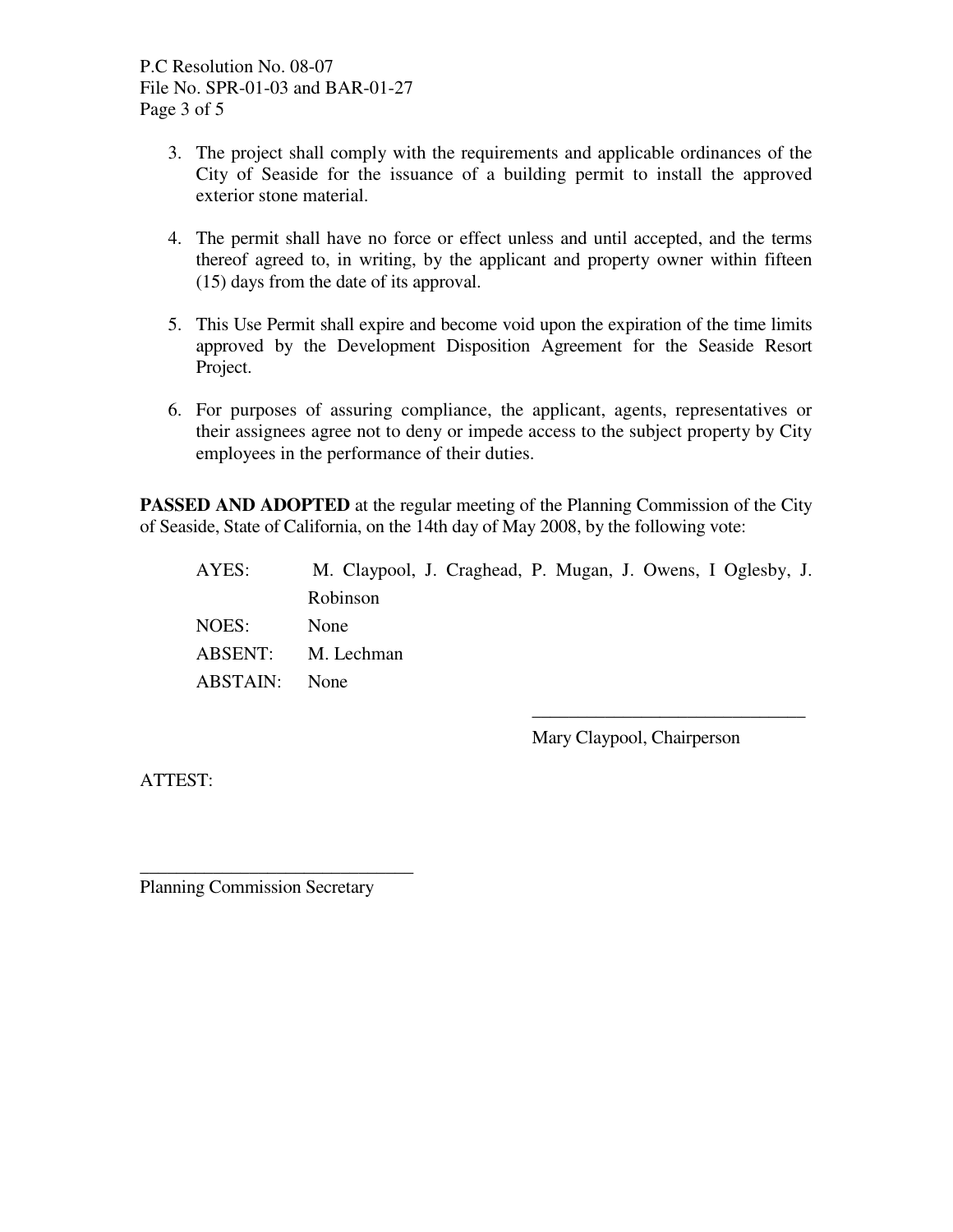P.C Resolution No. 08-07 File No. SPR-01-03 and BAR-01-27 Page 3 of 5

- 3. The project shall comply with the requirements and applicable ordinances of the City of Seaside for the issuance of a building permit to install the approved exterior stone material.
- 4. The permit shall have no force or effect unless and until accepted, and the terms thereof agreed to, in writing, by the applicant and property owner within fifteen (15) days from the date of its approval.
- 5. This Use Permit shall expire and become void upon the expiration of the time limits approved by the Development Disposition Agreement for the Seaside Resort Project.
- 6. For purposes of assuring compliance, the applicant, agents, representatives or their assignees agree not to deny or impede access to the subject property by City employees in the performance of their duties.

**PASSED AND ADOPTED** at the regular meeting of the Planning Commission of the City of Seaside, State of California, on the 14th day of May 2008, by the following vote:

| AYES:    | M. Claypool, J. Craghead, P. Mugan, J. Owens, I Oglesby, J. |
|----------|-------------------------------------------------------------|
|          | Robinson                                                    |
| NOES:    | None                                                        |
|          | ABSENT: M. Lechman                                          |
| ABSTAIN: | None                                                        |
|          |                                                             |

Mary Claypool, Chairperson

\_\_\_\_\_\_\_\_\_\_\_\_\_\_\_\_\_\_\_\_\_\_\_\_\_\_\_\_\_\_

ATTEST:

Planning Commission Secretary

\_\_\_\_\_\_\_\_\_\_\_\_\_\_\_\_\_\_\_\_\_\_\_\_\_\_\_\_\_\_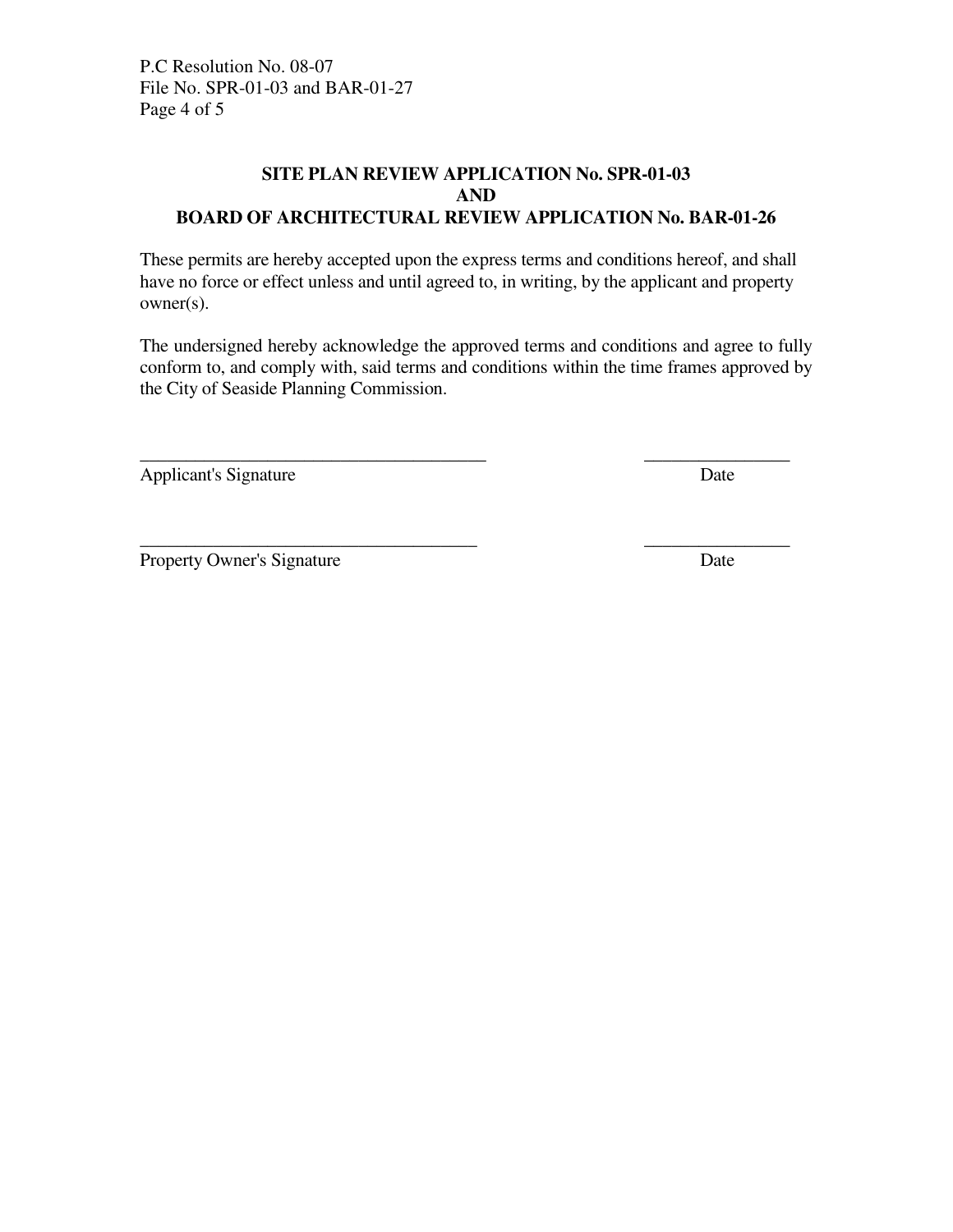P.C Resolution No. 08-07 File No. SPR-01-03 and BAR-01-27 Page 4 of 5

# **SITE PLAN REVIEW APPLICATION No. SPR-01-03 AND BOARD OF ARCHITECTURAL REVIEW APPLICATION No. BAR-01-26**

These permits are hereby accepted upon the express terms and conditions hereof, and shall have no force or effect unless and until agreed to, in writing, by the applicant and property owner(s).

The undersigned hereby acknowledge the approved terms and conditions and agree to fully conform to, and comply with, said terms and conditions within the time frames approved by the City of Seaside Planning Commission.

\_\_\_\_\_\_\_\_\_\_\_\_\_\_\_\_\_\_\_\_\_\_\_\_\_\_\_\_\_\_\_\_\_\_\_\_\_\_ \_\_\_\_\_\_\_\_\_\_\_\_\_\_\_\_

\_\_\_\_\_\_\_\_\_\_\_\_\_\_\_\_\_\_\_\_\_\_\_\_\_\_\_\_\_\_\_\_\_\_\_\_\_ \_\_\_\_\_\_\_\_\_\_\_\_\_\_\_\_

Applicant's Signature Date

Property Owner's Signature Date